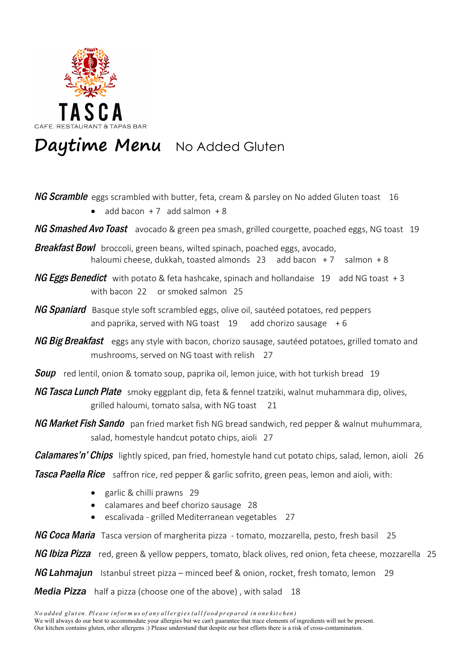

## Daytime Menu No Added Gluten

NG Scramble eggs scrambled with butter, feta, cream & parsley on No added Gluten toast 16

- add bacon  $+7$  add salmon  $+8$
- NG Smashed Avo Toast avocado & green pea smash, grilled courgette, poached eggs, NG toast 19
- **Breakfast Bowl** broccoli, green beans, wilted spinach, poached eggs, avocado, haloumi cheese, dukkah, toasted almonds  $23$  add bacon  $+7$  salmon  $+8$
- NG Eggs Benedict with potato & feta hashcake, spinach and hollandaise 19 add NG toast +3 with bacon 22 or smoked salmon 25
- **NG Spaniard** Basque style soft scrambled eggs, olive oil, sautéed potatoes, red peppers and paprika, served with NG toast  $19$  add chorizo sausage  $+6$
- NG Big Breakfast eggs any style with bacon, chorizo sausage, sautéed potatoes, grilled tomato and mushrooms, served on NG toast with relish 27
- **Soup** red lentil, onion & tomato soup, paprika oil, lemon juice, with hot turkish bread 19
- NG Tasca Lunch Plate smoky eggplant dip, feta & fennel tzatziki, walnut muhammara dip, olives, grilled haloumi, tomato salsa, with NG toast 21
- NG Market Fish Sando pan fried market fish NG bread sandwich, red pepper & walnut muhummara, salad, homestyle handcut potato chips, aioli 27

**Calamares'n' Chips** lightly spiced, pan fried, homestyle hand cut potato chips, salad, lemon, aioli 26

**Tasca Paella Rice** saffron rice, red pepper & garlic sofrito, green peas, lemon and aioli, with:

- $\bullet$  garlic & chilli prawns 29
- calamares and beef chorizo sausage 28
- escalivada grilled Mediterranean vegetables 27

NG Coca Maria Tasca version of margherita pizza - tomato, mozzarella, pesto, fresh basil 25

NG Ibiza Pizza red, green & yellow peppers, tomato, black olives, red onion, feta cheese, mozzarella 25

**NG Lahmajun** Istanbul street pizza – minced beef & onion, rocket, fresh tomato, lemon 29

*Media Pizza* half a pizza (choose one of the above) , with salad 18